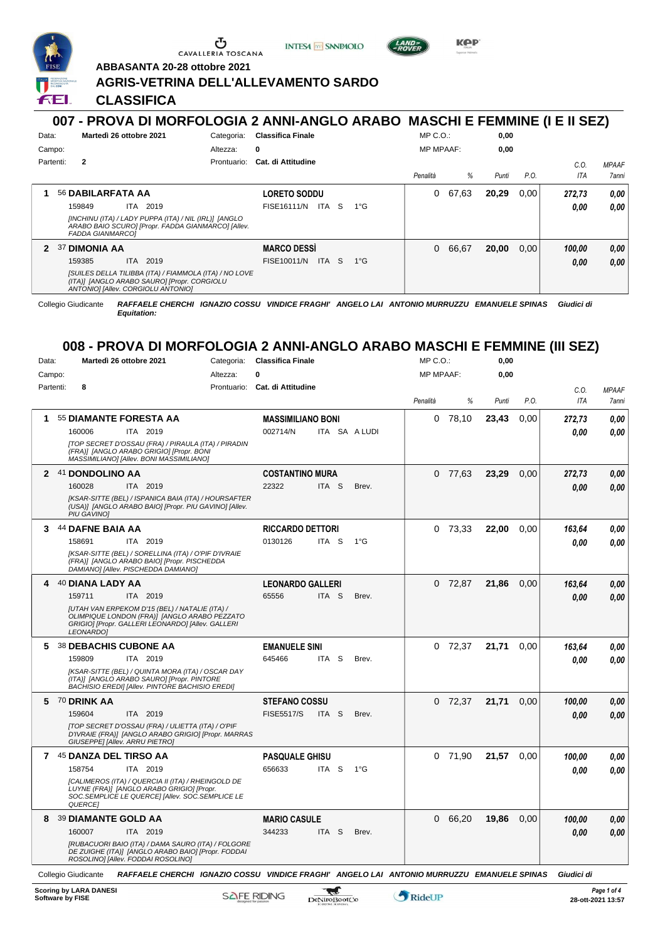

CAVALLERIA TOSCANA





KOP

**ABBASANTA 20-28 ottobre 2021**

## **AGRIS-VETRINA DELL'ALLEVAMENTO SARDO**

**CLASSIFICA**

## **007 - PROVA DI MORFOLOGIA 2 ANNI-ANGLO ARABO MASCHI E FEMMINE (I E II SEZ)** Data: **Martedì 26 ottobre 2021** Categoria: Classifica Finale Prontuario: **Cat. di Attitudine** Campo: Partenti: **2** Altezza: **0** MP C.O.: MP MPAAF: **0,00 0,00** *Penalità % Punti P.O. C.O. ITA MPAAF 7anni* **1** 56 **DABILARFATA AA** ITA 2019 **LORETO SODDU** *[INCHINU (ITA) / LADY PUPPA (ITA) / NIL (IRL)] [ANGLO ARABO BAIO SCURO] [Propr. FADDA GIANMARCO] [Allev. FADDA GIANMARCO]* 159849 ITA 2019 FISE16111/N ITA S 1°G <mark> 0,00 0,00</mark> 0 67,63 **20,29** 0,00 *272,73 0,00 0,00* **2** 37 **DIMONIA AA** ITA 2019 **MARCO DESSÌ** *[SUILES DELLA TILIBBA (ITA) / FIAMMOLA (ITA) / NO LOVE (ITA)] [ANGLO ARABO SAURO] [Propr. CORGIOLU ANTONIO] [Allev. CORGIOLU ANTONIO]* 159385 ITA 2019 FISE10011/N ITA S 1°G <mark> 0,00 0,00</mark> 0 66,67 **20,00** 0,00 *100,00 0,00 0,00* Collegio Giudicante *RAFFAELE CHERCHI IGNAZIO COSSU VINDICE FRAGHI' ANGELO LAI ANTONIO MURRUZZU EMANUELE SPINAS Giudici di Equitation:* **008 - PROVA DI MORFOLOGIA 2 ANNI-ANGLO ARABO MASCHI E FEMMINE (III SEZ)** Data: **Martedì 26 ottobre 2021** Categoria: Classifica Finale Prontuario: **Cat. di Attitudine** Campo: Partenti: **8** Altezza: **0** MP C.O.: MP MPAAF: **0,00 0,00** *Penalità % Punti P.O. C.O. ITA MPAAF 7anni* **1** 55 **DIAMANTE FORESTA AA** ITA 2019 **MASSIMILIANO BONI** *[TOP SECRET D'OSSAU (FRA) / PIRAULA (ITA) / PIRADIN (FRA)] [ANGLO ARABO GRIGIO] [Propr. BONI MASSIMILIANO] [Allev. BONI MASSIMILIANO]* ITA SA A LUDI 0 78,10 **23,43** 0,00 *272,73 0,00 0,00* 160006 002714/N *0,00* **2** 41 **DONDOLINO AA** ITA 2019 **COSTANTINO MURA** *[KSAR-SITTE (BEL) / ISPANICA BAIA (ITA) / HOURSAFTER (USA)] [ANGLO ARABO BAIO] [Propr. PIU GAVINO] [Allev. PIU GAVINO]* ITA S Brev. 0 77,63 **23,29** 0,00 *272,73 0,00 0,00* 160028 22322 *0,00* **3** 44 **DAFNE BAIA AA** ITA 2019 **RICCARDO DETTORI** *[KSAR-SITTE (BEL) / SORELLINA (ITA) / O'PIF D'IVRAIE (FRA)] [ANGLO ARABO BAIO] [Propr. PISCHEDDA DAMIANO] [Allev. PISCHEDDA DAMIANO]* ITA S 1°G 0 73,33 **22,00** 0,00 *163,64 0,00 0,00* 158691 0130126 *0,00* **4** 40 **DIANA LADY AA** ITA 2019 **LEONARDO GALLERI** *[UTAH VAN ERPEKOM D'15 (BEL) / NATALIE (ITA) / OLIMPIQUE LONDON (FRA)] [ANGLO ARABO PEZZATO GRIGIO] [Propr. GALLERI LEONARDO] [Allev. GALLERI LEONARDO]* ITA S Brev. 0 72,87 **21,86** 0,00 *163,64 0,00 0,00* 159711 65556 *0,00* **5** 38 **DEBACHIS CUBONE AA** ITA 2019 **EMANUELE SINI** *[KSAR-SITTE (BEL) / QUINTA MORA (ITA) / OSCAR DAY (ITA)] [ANGLO ARABO SAURO] [Propr. PINTORE BACHISIO EREDI] [Allev. PINTORE BACHISIO EREDI]* ITA S Brev. 0 72,37 **21,71** 0,00 *163,64 0,00 0,00* 159809 645466 *0,00* **5** 70 **DRINK AA** ITA 2019 **STEFANO COSSU** *[TOP SECRET D'OSSAU (FRA) / ULIETTA (ITA) / O'PIF D'IVRAIE (FRA)] [ANGLO ARABO GRIGIO] [Propr. MARRAS GIUSEPPE] [Allev. ARRU PIETRO]* ITA S Brev. 0 72,37 **21,71** 0,00 *100,00 0,00 0,00* 159604 ITA 2019 FISE5517/S ITA S Brev. **0,00 0,00 7** 45 **DANZA DEL TIRSO AA** ITA 2019 **PASQUALE GHISU** *[CALIMEROS (ITA) / QUERCIA II (ITA) / RHEINGOLD DE LUYNE (FRA)] [ANGLO ARABO GRIGIO] [Propr. SOC.SEMPLICE LE QUERCE] [Allev. SOC.SEMPLICE LE QUERCE]* ITA S 1°G 0 71,90 **21,57** 0,00 *100,00 0,00 0,00* 158754 ITA 2019 656633 ITA S 1°G <mark> *0,00 0,00*</mark> **8** 39 **DIAMANTE GOLD AA** ITA 2019 **MARIO CASULE** *[RUBACUORI BAIO (ITA) / DAMA SAURO (ITA) / FOLGORE DE ZUIGHE (ITA)] [ANGLO ARABO BAIO] [Propr. FODDAI ROSOLINO] [Allev. FODDAI ROSOLINO]* ITA S Brev. 0 66,20 **19,86** 0,00 *100,00 0,00 0,00* 160007 ITA 2019 344233 ITA S Brev. <mark> 0,00 0,00</mark> Collegio Giudicante *RAFFAELE CHERCHI IGNAZIO COSSU VINDICE FRAGHI' ANGELO LAI ANTONIO MURRUZZU EMANUELE SPINAS Giudici di*

**Scoring by LARA DANESI**

*Equitation:*

\*

*Page 1 of 4*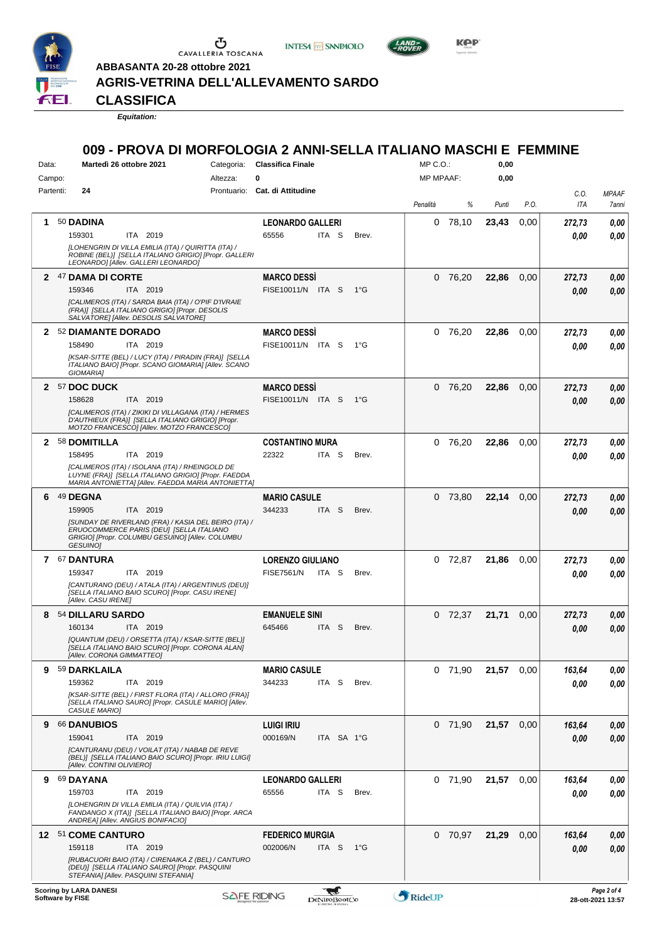

 $\mathop{\mathbf{U}}_{\mathop{\mathbf{CAVALLERIA}}}\mathop{\mathbf{Coxana}}$ 

**ABBASANTA 20-28 ottobre 2021**

**INTESA M** SANPAOLO



**KPP** 

**AGRIS-VETRINA DELL'ALLEVAMENTO SARDO**

**CLASSIFICA**

*Equitation:*

## **009 - PROVA DI MORFOLOGIA 2 ANNI-SELLA ITALIANO MASCHI E FEMMINE**

| Data:        |                               | Martedì 26 ottobre 2021                                                                                                             | Categoria:                                             | <b>Classifica Finale</b>       |                     |              | $MP C. O.$ :     |           | 0,00  |      |        |                   |
|--------------|-------------------------------|-------------------------------------------------------------------------------------------------------------------------------------|--------------------------------------------------------|--------------------------------|---------------------|--------------|------------------|-----------|-------|------|--------|-------------------|
| Campo:       |                               |                                                                                                                                     | Altezza:                                               | 0                              |                     |              | <b>MP MPAAF:</b> |           | 0,00  |      |        |                   |
| Partenti:    | 24                            |                                                                                                                                     |                                                        | Prontuario: Cat. di Attitudine |                     |              |                  |           |       |      | C.O.   | <b>MPAAF</b>      |
|              |                               |                                                                                                                                     |                                                        |                                |                     |              | Penalità         | %         | Punti | P.O. | ITA    | 7anni             |
| 1.           | 50 DADINA                     |                                                                                                                                     |                                                        | <b>LEONARDO GALLERI</b>        |                     |              |                  | $0$ 78,10 | 23,43 | 0,00 | 272,73 | 0,00              |
|              | 159301                        | ITA 2019                                                                                                                            |                                                        | 65556                          | ITA <sub>S</sub>    | Brev.        |                  |           |       |      | 0.00   | 0.00              |
|              |                               | [LOHENGRIN DI VILLA EMILIA (ITA) / QUIRITTA (ITA) /<br>LEONARDO] [Allev. GALLERI LEONARDO]                                          | ROBINE (BEL)] [SELLA ITALIANO GRIGIO] [Propr. GALLERI  |                                |                     |              |                  |           |       |      |        |                   |
|              | 2 47 DAMA DI CORTE            |                                                                                                                                     |                                                        | <b>MARCO DESSI</b>             |                     |              |                  | $0$ 76,20 | 22,86 | 0,00 | 272,73 | 0,00              |
|              | 159346                        | ITA 2019                                                                                                                            |                                                        | FISE10011/N ITA S              |                     | $1^{\circ}G$ |                  |           |       |      | 0.00   | 0.00              |
|              |                               | [CALIMEROS (ITA) / SARDA BAIA (ITA) / O'PIF D'IVRAIE                                                                                |                                                        |                                |                     |              |                  |           |       |      |        |                   |
|              |                               | (FRA)] [SELLA ITALIANO GRIGIO] [Propr. DESOLIS<br>SALVATORE] [Allev. DESOLIS SALVATORE]                                             |                                                        |                                |                     |              |                  |           |       |      |        |                   |
| $\mathbf{2}$ | 52 DIAMANTE DORADO            |                                                                                                                                     |                                                        | <b>MARCO DESSI</b>             |                     |              | 0                | 76,20     | 22,86 | 0,00 | 272,73 | 0,00              |
|              | 158490                        | ITA 2019                                                                                                                            |                                                        | FISE10011/N ITA S              |                     | 1°G          |                  |           |       |      | 0.00   | 0.00              |
|              |                               |                                                                                                                                     | [KSAR-SITTE (BEL) / LUCY (ITA) / PIRADIN (FRA)] [SELLA |                                |                     |              |                  |           |       |      |        |                   |
|              | GIOMARIA]                     |                                                                                                                                     | ITALIANO BAIO] [Propr. SCANO GIOMARIA] [Allev. SCANO   |                                |                     |              |                  |           |       |      |        |                   |
|              | 2 57 DOC DUCK                 |                                                                                                                                     |                                                        | <b>MARCO DESSI</b>             |                     |              | 0                | 76,20     | 22,86 | 0,00 | 272,73 | 0,00              |
|              | 158628                        | ITA 2019                                                                                                                            |                                                        | FISE10011/N ITA S              |                     | 1°G          |                  |           |       |      | 0.00   | 0,00              |
|              |                               | D'AUTHIEUX (FRA)] [SELLA ITALIANO GRIGIO] [Propr.                                                                                   | [CALIMEROS (ITA) / ZIKIKI DI VILLAGANA (ITA) / HERMES  |                                |                     |              |                  |           |       |      |        |                   |
|              |                               | MOTZO FRANCESCO] [Allev. MOTZO FRANCESCO]                                                                                           |                                                        |                                |                     |              |                  |           |       |      |        |                   |
| $\mathbf{2}$ | 58 DOMITILLA                  |                                                                                                                                     |                                                        | <b>COSTANTINO MURA</b>         |                     |              |                  | 0 76,20   | 22,86 | 0.00 | 272,73 | 0,00              |
|              | 158495                        | ITA 2019                                                                                                                            |                                                        | 22322                          | ITA S               | Brev.        |                  |           |       |      | 0.00   | 0.00              |
|              |                               | [CALIMEROS (ITA) / ISOLANA (ITA) / RHEINGOLD DE                                                                                     | LUYNE (FRA)] [SELLA ITALIANO GRIGIO] [Propr. FAEDDA    |                                |                     |              |                  |           |       |      |        |                   |
|              |                               |                                                                                                                                     | MARIA ANTONIETTA] [Allev. FAEDDA MARIA ANTONIETTA]     |                                |                     |              |                  |           |       |      |        |                   |
| 6            | 49 DEGNA                      |                                                                                                                                     |                                                        | <b>MARIO CASULE</b>            |                     |              |                  | 0 73,80   | 22,14 | 0,00 | 272,73 | 0,00              |
|              | 159905                        | ITA 2019                                                                                                                            | [SUNDAY DE RIVERLAND (FRA) / KASIA DEL BEIRO (ITA) /   | 344233                         | ITA <sub>S</sub>    | Brev.        |                  |           |       |      | 0.00   | 0,00              |
|              | GESUINO]                      | ERUOCOMMERCE PARIS (DEU) [SELLA ITALIANO<br>GRIGIO] [Propr. COLUMBU GESUINO] [Allev. COLUMBU                                        |                                                        |                                |                     |              |                  |           |       |      |        |                   |
|              | 7 67 DANTURA                  |                                                                                                                                     |                                                        | <b>LORENZO GIULIANO</b>        |                     |              |                  | $0$ 72,87 | 21,86 | 0.00 | 272,73 | 0,00              |
|              | 159347                        | ITA 2019                                                                                                                            |                                                        | <b>FISE7561/N</b>              | ITA S               | Brev.        |                  |           |       |      | 0.00   | 0.00              |
|              |                               |                                                                                                                                     | [CANTURANO (DEU) / ATALA (ITA) / ARGENTINUS (DEU)]     |                                |                     |              |                  |           |       |      |        |                   |
|              | [Allev. CASU IRENE]           | [SELLA ITALIANO BAIO SCURO] [Propr. CASU IRENE]                                                                                     |                                                        |                                |                     |              |                  |           |       |      |        |                   |
| 8            | 54 DILLARU SARDO              |                                                                                                                                     |                                                        | <b>EMANUELE SINI</b>           |                     |              | 0                | 72.37     | 21,71 | 0,00 | 272,73 | 0,00              |
|              | 160134                        | ITA 2019                                                                                                                            |                                                        | 645466                         | ITA <sub>S</sub>    | Brev.        |                  |           |       |      | 0.00   | 0,00              |
|              |                               | [QUANTUM (DEU) / ORSETTA (ITA) / KSAR-SITTE (BEL)]<br>[SELLA ITALIANO BAIO SCURO] [Propr. CORONA ALAN]<br>[Allev. CORONA GIMMATTEO] |                                                        |                                |                     |              |                  |           |       |      |        |                   |
| 9            | 59 DARKLAILA                  |                                                                                                                                     |                                                        | <b>MARIO CASULE</b>            |                     |              |                  | $0$ 71,90 | 21,57 | 0,00 | 163,64 | 0,00              |
|              | 159362                        | ITA 2019                                                                                                                            |                                                        | 344233                         | ITA <sub>S</sub>    | Brev.        |                  |           |       |      | 0.00   | 0.00              |
|              |                               |                                                                                                                                     | [KSAR-SITTE (BEL) / FIRST FLORA (ITA) / ALLORO (FRA)]  |                                |                     |              |                  |           |       |      |        |                   |
|              | CASULE MARIO]                 |                                                                                                                                     | [SELLA ITALIANO SAURO] [Propr. CASULE MARIO] [Allev.   |                                |                     |              |                  |           |       |      |        |                   |
| 9            | 66 DANUBIOS                   |                                                                                                                                     |                                                        | <b>LUIGI IRIU</b>              |                     |              |                  | $0$ 71,90 | 21,57 | 0,00 | 163,64 | 0,00              |
|              | 159041                        | ITA 2019                                                                                                                            |                                                        | 000169/N                       | ITA SA 1°G          |              |                  |           |       |      | 0.00   | 0,00              |
|              |                               | [CANTURANU (DEU) / VOILAT (ITA) / NABAB DE REVE                                                                                     | (BEL)] [SELLA ITALIANO BAIO SCURO] [Propr. IRIU LUIGI] |                                |                     |              |                  |           |       |      |        |                   |
|              |                               | [Allev. CONTINI OLIVIERO]                                                                                                           |                                                        |                                |                     |              |                  |           |       |      |        |                   |
| 9            | 69 DAYANA                     |                                                                                                                                     |                                                        | <b>LEONARDO GALLERI</b>        |                     |              |                  | $0$ 71,90 | 21,57 | 0,00 | 163,64 | 0,00              |
|              | 159703                        | ITA 2019                                                                                                                            |                                                        | 65556                          | ITA S               | Brev.        |                  |           |       |      | 0,00   | 0,00              |
|              |                               | [LOHENGRIN DI VILLA EMILIA (ITA) / QUILVIA (ITA) /<br>ANDREA] [Allev. ANGIUS BONIFACIO]                                             | FANDANGO X (ITA)] [SELLA ITALIANO BAIO] [Propr. ARCA   |                                |                     |              |                  |           |       |      |        |                   |
|              | 12 51 COME CANTURO            |                                                                                                                                     |                                                        | <b>FEDERICO MURGIA</b>         |                     |              |                  | $0$ 70,97 | 21,29 | 0,00 | 163,64 | 0,00              |
|              | 159118                        | ITA 2019                                                                                                                            |                                                        | 002006/N                       | ITA S               | − 1°G        |                  |           |       |      | 0,00   | 0,00              |
|              |                               | (DEU)] [SELLA ITALIANO SAURO] [Propr. PASQUINI<br>STEFANIA] [Allev. PASQUINI STEFANIA]                                              | [RUBACUORI BAIO (ITA) / CIRENAIKA Z (BEL) / CANTURO    |                                |                     |              |                  |           |       |      |        |                   |
|              | <b>Scoring by LARA DANESI</b> |                                                                                                                                     |                                                        |                                | W                   |              |                  |           |       |      |        | Page 2 of 4       |
|              | Software by FISE              |                                                                                                                                     | <b>SAFE RIDING</b>                                     |                                | <b>DeNiroBootCo</b> |              | RideUP           |           |       |      |        | 28-ott-2021 13:57 |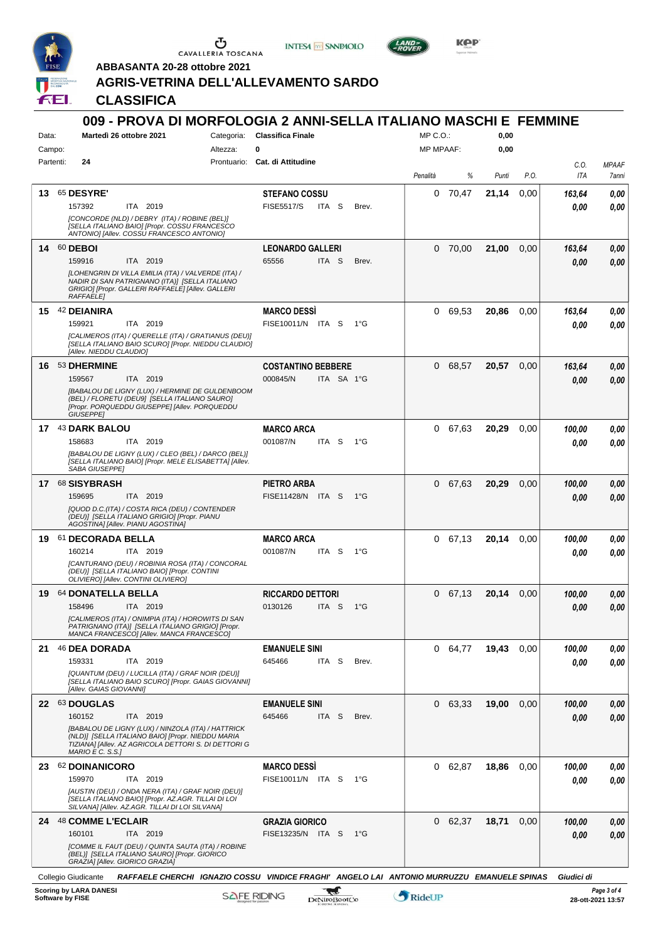

 $\begin{array}{c}\n\bullet \\
\bullet \\
\bullet \\
\bullet\n\end{array}$  CAVALLERIA TOSCANA





**Kep** 

**ABBASANTA 20-28 ottobre 2021**

## **AGRIS-VETRINA DELL'ALLEVAMENTO SARDO**

**CLASSIFICA**

| Data:     |                                                       | 009 - PROVA DI MORFOLOGIA 2 ANNI-SELLA ITALIANO MASCHI E FEMMINE<br>Martedì 26 ottobre 2021                                                                                 | Categoria: | <b>Classifica Finale</b>                   |                  |              | MP C.O.:         |           | 0,00  |      |                |                                  |
|-----------|-------------------------------------------------------|-----------------------------------------------------------------------------------------------------------------------------------------------------------------------------|------------|--------------------------------------------|------------------|--------------|------------------|-----------|-------|------|----------------|----------------------------------|
| Campo:    |                                                       |                                                                                                                                                                             | Altezza:   | 0                                          |                  |              | <b>MP MPAAF:</b> |           | 0,00  |      |                |                                  |
| Partenti: | 24                                                    |                                                                                                                                                                             |            | Prontuario: Cat. di Attitudine             |                  |              | Penalità         | %         | Punti | P.O. | C.O.<br>ITA    | <b>MPAAF</b><br>7anni            |
| 13        | 65 DESYRE'<br>157392                                  | ITA 2019<br>[CONCORDE (NLD) / DEBRY (ITA) / ROBINE (BEL)]<br>[SELLA ITALIANO BAIO] [Propr. COSSU FRANCESCO<br>ANTONIO] [Allev. COSSU FRANCESCO ANTONIO]                     |            | <b>STEFANO COSSU</b><br><b>FISE5517/S</b>  | ITA S            | Brev.        | 0                | 70,47     | 21,14 | 0,00 | 163,64<br>0.00 | 0,00<br>0.00                     |
|           | 14 60 DEBOI<br>159916<br><b>RAFFAELE1</b>             | ITA 2019<br>ILOHENGRIN DI VILLA EMILIA (ITA) / VALVERDE (ITA) /<br>NADIR DI SAN PATRIGNANO (ITA)] [SELLA ITALIANO<br>GRIGIO] [Propr. GALLERI RAFFAELE] [Allev. GALLERI      |            | <b>LEONARDO GALLERI</b><br>65556           | ITA <sub>S</sub> | Brev.        |                  | $0$ 70,00 | 21,00 | 0,00 | 163,64<br>0.00 | 0,00<br>0.00                     |
|           | 15 42 DEIANIRA<br>159921<br>[Allev. NIEDDU CLAUDIO]   | ITA 2019<br>[CALIMEROS (ITA) / QUERELLE (ITA) / GRATIANUS (DEU)]<br>[SELLA ITALIANO BAIO SCURO] [Propr. NIEDDU CLAUDIO]                                                     |            | <b>MARCO DESSI</b><br>FISE10011/N ITA S    |                  | 1°G          |                  | 0 69,53   | 20,86 | 0.00 | 163,64<br>0.00 | 0,00<br>0.00                     |
|           | 16 53 DHERMINE<br>159567<br><b>GIUSEPPEI</b>          | ITA 2019<br>[BABALOU DE LIGNY (LUX) / HERMINE DE GULDENBOOM<br>(BEL) / FLORETU (DEU9] [SELLA ITALIANO SAURO]<br>[Propr. PORQUEDDU GIUSEPPE] [Allev. PORQUEDDU               |            | <b>COSTANTINO BEBBERE</b><br>000845/N      |                  | ITA SA 1°G   | 0                | 68,57     | 20,57 | 0,00 | 163,64<br>0.00 | 0,00<br>0.00                     |
|           | 17 43 DARK BALOU<br>158683<br>SABA GIUSEPPE]          | ITA 2019<br>[BABALOU DE LIGNY (LUX) / CLEO (BEL) / DARCO (BEL)]<br>[SELLA ITALIANO BAIO] [Propr. MELE ELISABETTA] [Allev.                                                   |            | <b>MARCO ARCA</b><br>001087/N              | ITA <sub>S</sub> | $1^{\circ}G$ | 0                | 67,63     | 20,29 | 0,00 | 100,00<br>0.00 | 0,00<br>0.00                     |
|           | 17 68 SISYBRASH<br>159695                             | ITA 2019<br>[QUOD D.C.(ITA) / COSTA RICA (DEU) / CONTENDER<br>(DEU)] [SELLA ITALIANO GRIGIO] [Propr. PIANU<br>AGOSTINA] [Allev. PIANU AGOSTINA]                             |            | PIETRO ARBA<br>FISE11428/N ITA S           |                  | $1^{\circ}G$ |                  | 0 67,63   | 20,29 | 0,00 | 100,00<br>0.00 | 0,00<br>0.00                     |
|           | 19 61 DECORADA BELLA<br>160214                        | ITA 2019<br>ICANTURANO (DEU) / ROBINIA ROSA (ITA) / CONCORAL<br>(DEU)] [SELLA ITALIANO BAIO] [Propr. CONTINI<br>OLIVIEROJ [Allev. CONTINI OLIVIERO]                         |            | <b>MARCO ARCA</b><br>001087/N              | ITA <sub>S</sub> | $1^{\circ}G$ |                  | 0, 67, 13 | 20,14 | 0,00 | 100,00<br>0.00 | 0,00<br>0.00                     |
| 19        | 64 DONATELLA BELLA<br>158496                          | ITA 2019<br>[CALIMEROS (ITA) / ONIMPIA (ITA) / HOROWITS DI SAN<br>PATRIGNANO (ITA)] [SELLA ITALIANO GRIGIO] [Propr.<br>MANCA FRANCESCOI [Allev. MANCA FRANCESCO]            |            | <b>RICCARDO DETTORI</b><br>0130126         | ITA S            | 1°G          | 0                | 67,13     | 20,14 | 0,00 | 100,00<br>0.00 | 0,00<br>0,00                     |
|           | 21 46 DEA DORADA<br>159331<br>[Allev. GAIAS GIOVANNI] | ITA 2019<br>[QUANTUM (DEU) / LUCILLA (ITA) / GRAF NOIR (DEU)]<br>[SELLA ITALIANO BAIO SCURO] [Propr. GAIAS GIOVANNI]                                                        |            | <b>EMANUELE SINI</b><br>645466             | ITA S            | Brev.        |                  | 0 64,77   | 19,43 | 0.00 | 100,00<br>0.00 | 0,00<br>0,00                     |
|           | 22 63 DOUGLAS<br>160152<br>$MARIO E C. S.S.$ ]        | ITA 2019<br>[BABALOU DE LIGNY (LUX) / NINZOLA (ITA) / HATTRICK<br>(NLD)] [SELLA ITALIANO BAIO] [Propr. NIEDDU MARIA<br>TIZIANA] [Allev. AZ AGRICOLA DETTORI S. DI DETTORI G |            | <b>EMANUELE SINI</b><br>645466             | ITA S            | Brev.        |                  | 0 63,33   | 19,00 | 0,00 | 100.00<br>0,00 | 0,00<br>0,00                     |
|           | 23 62 DOINANICORO<br>159970                           | ITA 2019<br>[AUSTIN (DEU) / ONDA NERA (ITA) / GRAF NOIR (DEU)]<br>[SELLA ITALIANO BAIO] [Propr. AZ.AGR. TILLAI DI LOI<br>SILVANA] [Allev. AZ.AGR. TILLAI DI LOI SILVANA]    |            | <b>MARCO DESSI</b><br>FISE10011/N ITA S    |                  | 1°G          |                  | 0 62,87   | 18,86 | 0.00 | 100,00<br>0.00 | 0,00<br>0.00                     |
|           | 24 48 COMME L'ECLAIR<br>160101                        | ITA 2019<br>[COMME IL FAUT (DEU) / QUINTA SAUTA (ITA) / ROBINE<br>(BEL)] [SELLA ITALIANO SAURO] [Propr. GIORICO<br>GRAZIA] [Allev. GIORICO GRAZIA]                          |            | <b>GRAZIA GIORICO</b><br>FISE13235/N ITA S |                  | 1°G          |                  | 0 62,37   | 18,71 | 0,00 | 100.00<br>0.00 | 0,00<br>0,00                     |
|           | Collegio Giudicante                                   | RAFFAELE CHERCHI IGNAZIO COSSU VINDICE FRAGHI' ANGELO LAI ANTONIO MURRUZZU EMANUELE SPINAS                                                                                  |            |                                            |                  |              |                  |           |       |      | Giudici di     |                                  |
|           | <b>Scoring by LARA DANESI</b><br>Software by FISE     |                                                                                                                                                                             |            | <b>SAFE RIDING</b>                         | DeNiroBootCo     |              | RideUP           |           |       |      |                | Page 3 of 4<br>28-ott-2021 13:57 |